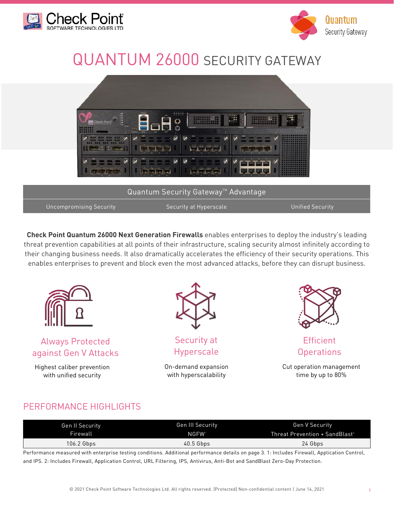



# QUANTUM 26000 SECURITY GATEWAY



**Check Point Quantum 26000 Next Generation Firewalls** enables enterprises to deploy the industry's leading threat prevention capabilities at all points of their infrastructure, scaling security almost infinitely according to their changing business needs. It also dramatically accelerates the efficiency of their security operations. This enables enterprises to prevent and block even the most advanced attacks, before they can disrupt business.



Always Protected against Gen V Attacks

Highest caliber prevention with unified security



Security at Hyperscale

On-demand expansion with hyperscalability



**Efficient Operations** 

Cut operation management time by up to 80%

### PERFORMANCE HIGHLIGHTS

| Gen II Security | Gen III Security  | Gen V Security                             |
|-----------------|-------------------|--------------------------------------------|
| Firewall        | NGFW <sup>1</sup> | Threat Prevention + SandBlast <sup>2</sup> |
| 106.2 Gbps      | $40.5$ Gbps       | 24 Gbps                                    |

Performance measured with enterprise testing conditions. Additional performance details on page 3. 1: Includes Firewall, Application Control, and IPS. 2: Includes Firewall, Application Control, URL Filtering, IPS, Antivirus, Anti-Bot and SandBlast Zero-Day Protection.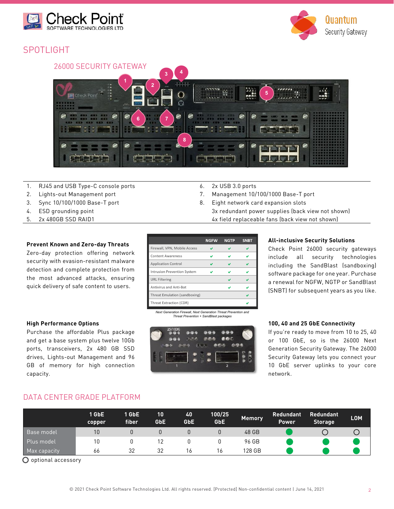







- 1. RJ45 and USB Type-C console ports 6. 2x USB 3.0 ports
- 2. Lights-out Management port 10/100/1000 Base-T port 10/100/1000 Base-T port
- 3. Sync 10/100/1000 Base-T port 6. The state of the Second State Basic Second State Second State Basic Second State Basic Second State Basic Second State Basic Second State Basic Second State Basic Second State Basic Secon
- 4. ESD grounding point 3x redundant power supplies (back view not shown)
- 5. 2x 480GB SSD RAID1 **12000** 4x field replaceable fans (back view not shown)

### **Prevent Known and Zero-day Threats**

Zero-day protection offering network security with evasion-resistant malware detection and complete protection from the most advanced attacks, ensuring quick delivery of safe content to users.

#### **NGFW NGTP SNBT** Firewall, VPN, Mobile Access  $\checkmark$  $\checkmark$  $\checkmark$ **Content Awareness** V  $\mathbf{v}$ V **Application Control**  $\checkmark$  $\mathbf{v}$  $\checkmark$ Intrusion Prevention System  $\mathbf{v}$ URL Filtering  $\checkmark$  $\checkmark$ Antivirus and Anti-Bot Ō.  $\mathbf{v}$ Threat Emulation (sandboxing) U Threat Extraction (CDR)  $\mathbf{v}$

*Next Generation Firewall, Next Generation Threat Prevention and Threat Prevention + SandBlast packages*

#### **All-inclusive Security Solutions**

Check Point 26000 security gateways include all security technologies including the SandBlast (sandboxing) software package for one year. Purchase a renewal for NGFW, NGTP or SandBlast (SNBT) for subsequent years as you like.

#### **100, 40 and 25 GbE Connectivity**

If re ready to move from 10 to 25, 40 00 GbE, so is the 26000 Next ation Security Gateway. The 26000 ity Gateway lets you connect your bE server uplinks to your core network.

### DATA CENTER GRADE PLATFORM

|              | 1 GbE<br><b>Copper</b> | $1$ GbE<br>fiber | 10<br><b>GbE</b> | 40<br><b>GbE</b> | 100/25<br>GbE | <b>Memory</b> | <b>Redundant</b><br><b>Power</b> | <b>Redundant</b><br><b>Storage</b> | <b>LOM</b> |
|--------------|------------------------|------------------|------------------|------------------|---------------|---------------|----------------------------------|------------------------------------|------------|
| Base model   | 10                     |                  |                  |                  | U             | 48 GB         |                                  |                                    |            |
| Plus model   | 10                     |                  |                  |                  |               | 96 GB         |                                  |                                    |            |
| Max capacity | 66                     | 32               | 32               | 16               | 16            | 128 GB        |                                  |                                    |            |

O optional accessory

capacity.

| <b>High Performance Options</b>                  |                     |
|--------------------------------------------------|---------------------|
| Purchase the affordable Plus package             | 25/100G 333 333 339 |
| and get a base system plus twelve 10Gb           |                     |
| ports, transceivers, 2x 480 GB SSD               |                     |
| drives, Lights-out Management and 96             |                     |
| GB of memory for high connection                 |                     |
| $\sim$ $\sim$ $\sim$ $\sim$ $\sim$ $\sim$ $\sim$ |                     |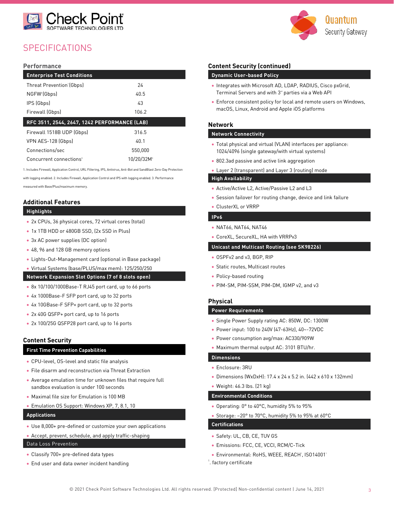



### **SPECIFICATIONS**

#### **Performance**

| <b>Enterprise Test Conditions</b>            |         |  |  |
|----------------------------------------------|---------|--|--|
| Threat Prevention'(Gbps)                     | 24      |  |  |
| NGFW <sup>2</sup> (Gbps)                     | 40.5    |  |  |
| IPS (Gbps)                                   | 43      |  |  |
| Firewall (Gbps)                              | 106.2   |  |  |
|                                              |         |  |  |
| RFC 3511, 2544, 2647, 1242 PERFORMANCE (LAB) |         |  |  |
| Firewall 1518B UDP (Gbps)                    | 316.5   |  |  |
| VPN AES-128 (Gbps)                           | 40 1    |  |  |
| Connections/sec                              | 550.000 |  |  |

1. Includes Firewall, Application Control, URL Filtering, IPS, Antivirus, Anti-Bot and SandBlast Zero-Day Protection

with logging enabled. 2. Includes Firewall, Application Control and IPS with logging enabled. 3. Performance measured with Base/Plus/maximum memory.

### **Additional Features**

#### **Highlights**

- 2x CPUs, 36 physical cores, 72 virtual cores (total)
- 1x 1TB HDD or 480GB SSD, (2x SSD in Plus)
- 3x AC power supplies (DC option)
- 48, 96 and 128 GB memory options
- Lights-Out-Management card (optional in Base package)
- Virtual Systems (base/PLUS/max mem): 125/250/250

#### **Network Expansion Slot Options (7 of 8 slots open)**

- 8x 10/100/1000Base-T RJ45 port card, up to 66 ports
- 4x 1000Base-F SFP port card, up to 32 ports
- 4x 10GBase-F SFP+ port card, up to 32 ports
- 2x 40G QSFP+ port card, up to 16 ports
- 2x 100/25G QSFP28 port card, up to 16 ports

#### **Content Security**

#### **First Time Prevention Capabilities**

- CPU-level, OS-level and static file analysis
- File disarm and reconstruction via Threat Extraction
- Average emulation time for unknown files that require full sandbox evaluation is under 100 seconds
- Maximal file size for Emulation is 100 MB
- Emulation OS Support: Windows XP, 7, 8.1, 10

#### **Applications**

- Use 8,000+ pre-defined or customize your own applications
- Accept, prevent, schedule, and apply traffic-shaping
- Data Loss Prevention
- Classify 700+ pre-defined data types
- End user and data owner incident handling

#### **Content Security (continued)**

#### **Dynamic User-based Policy**

- Integrates with Microsoft AD, LDAP, RADIUS, Cisco pxGrid, Terminal Servers and with 3<sup>rd</sup> parties via a Web API
- Enforce consistent policy for local and remote users on Windows, macOS, Linux, Android and Apple iOS platforms

#### **Network**

#### **Network Connectivity**

- Total physical and virtual (VLAN) interfaces per appliance: 1024/4096 (single gateway/with virtual systems)
- 802.3ad passive and active link aggregation
- Layer 2 (transparent) and Layer 3 (routing) mode

#### **High Availability**

- Active/Active L2, Active/Passive L2 and L3
- Session failover for routing change, device and link failure
- ClusterXL or VRRP

#### **IPv6**

- NAT66, NAT64, NAT46
- CoreXL, SecureXL, HA with VRRPv3

#### **Unicast and Multicast Routing (see SK98226)**

- OSPFv2 and v3, BGP, RIP
- Static routes, Multicast routes
- Policy-based routing
- PIM-SM, PIM-SSM, PIM-DM, IGMP v2, and v3

#### **Physical**

#### **Power Requirements**

- Single Power Supply rating AC: 850W, DC: 1300W
- Power input: 100 to 240V (47-63Hz), 40~-72VDC
- Power consumption avg/max: AC330/909W
- Maximum thermal output AC: 3101 BTU/hr.

#### **Dimensions**

- Enclosure: 3RU
- Dimensions (WxDxH): 17.4 x 24 x 5.2 in. (442 x 610 x 132mm)
- Weight: 46.3 lbs. (21 kg)

#### **Environmental Conditions**

- Operating: 0° to 40°C, humidity 5% to 95%
- Storage: –20° to 70°C, humidity 5% to 95% at 60°C

### **Certifications**

- Safety: UL, CB, CE, TUV GS
- Emissions: FCC, CE, VCCI, RCM/C-Tick
- Environmental: RoHS, WEEE, REACH', ISO14001'
- '. factory certificate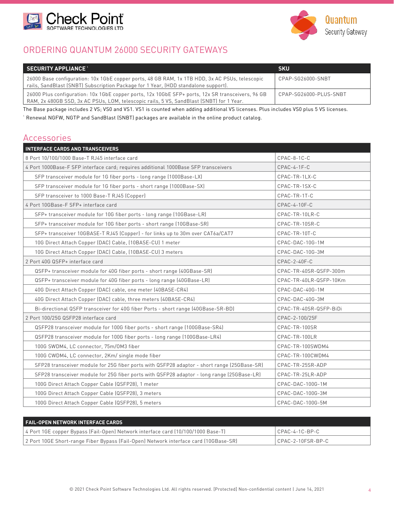



### ORDERING QUANTUM 26000 SECURITY GATEWAYS

| $\blacksquare$ SECURITY APPLIANCE $\blacksquare$                                                                                                                                              | <b>SKU</b>             |
|-----------------------------------------------------------------------------------------------------------------------------------------------------------------------------------------------|------------------------|
| 26000 Base configuration: 10x 1GbE copper ports, 48 GB RAM, 1x 1TB HDD, 3x AC PSUs, telescopic<br>rails, SandBlast (SNBT) Subscription Package for 1 Year, (HDD standalone support).          | CPAP-SG26000-SNBT      |
| 26000 Plus configuration: 10x 1GbE copper ports, 12x 10GbE SFP+ ports, 12x SR transceivers, 96 GB<br>RAM, 2x 480GB SSD, 3x AC PSUs, LOM, telescopic rails, 5 VS, SandBlast (SNBT) for 1 Year. | CPAP-SG26000-PLUS-SNBT |

The Base package includes 2 VS; VS0 and VS1. VS1 is counted when adding additional VS licenses. Plus includes VS0 plus 5 VS licenses. 1 Renewal NGFW, NGTP and SandBlast (SNBT) packages are available in the online product catalog.

### Accessories

| <b>INTERFACE CARDS AND TRANSCEIVERS</b>                                                     |                        |
|---------------------------------------------------------------------------------------------|------------------------|
| 8 Port 10/100/1000 Base-T RJ45 interface card                                               | CPAC-8-1C-C            |
| 4 Port 1000Base-F SFP interface card; requires additional 1000Base SFP transceivers         | $CPAC-4-1F-C$          |
| SFP transceiver module for 1G fiber ports - long range (1000Base-LX)                        | CPAC-TR-1LX-C          |
| SFP transceiver module for 1G fiber ports - short range (1000Base-SX)                       | CPAC-TR-1SX-C          |
| SFP transceiver to 1000 Base-T RJ45 (Copper)                                                | CPAC-TR-1T-C           |
| 4 Port 10GBase-F SFP+ interface card                                                        | CPAC-4-10F-C           |
| SFP+ transceiver module for 10G fiber ports - long range (10GBase-LR)                       | CPAC-TR-10LR-C         |
| SFP+ transceiver module for 10G fiber ports - short range (10GBase-SR)                      | CPAC-TR-10SR-C         |
| SFP+ transceiver 10GBASE-T RJ45 (Copper) - for links up to 30m over CAT6a/CAT7              | CPAC-TR-10T-C          |
| 10G Direct Attach Copper (DAC) Cable, (10BASE-CU) 1 meter                                   | CPAC-DAC-10G-1M        |
| 10G Direct Attach Copper (DAC) Cable, (10BASE-CU) 3 meters                                  | CPAC-DAC-10G-3M        |
| 2 Port 40G QSFP+ interface card                                                             | $CPAC-2-40F-C$         |
| QSFP+ transceiver module for 40G fiber ports - short range (40GBase-SR)                     | CPAC-TR-40SR-QSFP-300m |
| QSFP+ transceiver module for 40G fiber ports - long range (40GBase-LR)                      | CPAC-TR-40LR-QSFP-10Km |
| 40G Direct Attach Copper (DAC) cable, one meter (40BASE-CR4)                                | CPAC-DAC-40G-1M        |
| 40G Direct Attach Copper (DAC) cable, three meters (40BASE-CR4)                             | CPAC-DAC-40G-3M        |
| Bi-directional QSFP transceiver for 40G fiber Ports - short range (40GBase-SR-BD)           | CPAC-TR-40SR-QSFP-BiDi |
| 2 Port 100/25G QSFP28 interface card                                                        | CPAC-2-100/25F         |
| QSFP28 transceiver module for 100G fiber ports - short range (100GBase-SR4)                 | CPAC-TR-100SR          |
| QSFP28 transceiver module for 100G fiber ports - long range (100GBase-LR4)                  | CPAC-TR-100LR          |
| 100G SWDM4, LC connector, 75m/0M3 fiber                                                     | CPAC-TR-100SWDM4       |
| 100G CWDM4, LC connector, 2Km/ single mode fiber                                            | CPAC-TR-100CWDM4       |
| SFP28 transceiver module for 25G fiber ports with QSFP28 adaptor - short range (25GBase-SR) | CPAC-TR-25SR-ADP       |
| SFP28 transceiver module for 25G fiber ports with QSFP28 adaptor - long range (25GBase-LR)  | CPAC-TR-25LR-ADP       |
| 100G Direct Attach Copper Cable (QSFP28), 1 meter                                           | CPAC-DAC-100G-1M       |
| 100G Direct Attach Copper Cable (QSFP28), 3 meters                                          | CPAC-DAC-100G-3M       |
| 100G Direct Attach Copper Cable (QSFP28), 5 meters                                          | CPAC-DAC-100G-5M       |

| FAIL-OPEN NETWORK INTERFACE CARDS                                                    |                   |
|--------------------------------------------------------------------------------------|-------------------|
| 4 Port 1GE copper Bypass (Fail-Open) Network interface card (10/100/1000 Base-T)     | CPAC-4-1C-BP-C    |
| 2 Port 10GE Short-range Fiber Bypass (Fail-Open) Network interface card (10GBase-SR) | CPAC-2-10FSR-BP-C |